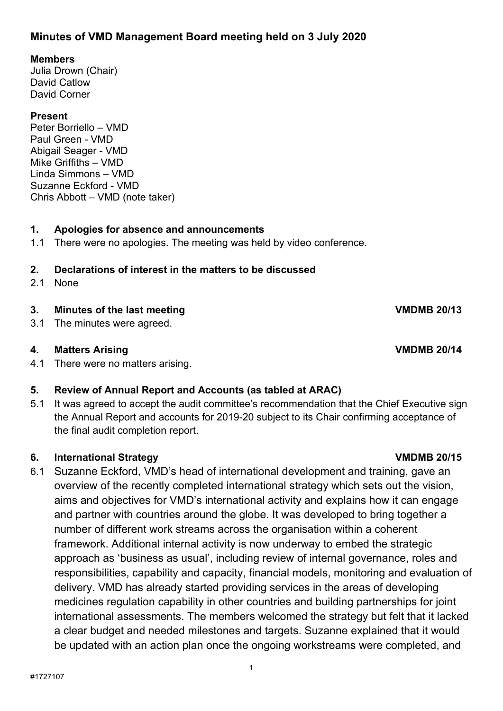## **Minutes of VMD Management Board meeting held on 3 July 2020**

### **Members**

Julia Drown (Chair) David Catlow David Corner

### **Present**

Peter Borriello – VMD Paul Green - VMD Abigail Seager - VMD Mike Griffiths – VMD Linda Simmons – VMD Suzanne Eckford - VMD Chris Abbott – VMD (note taker)

### **1. Apologies for absence and announcements**

1.1 There were no apologies. The meeting was held by video conference.

# **2. Declarations of interest in the matters to be discussed**

2.1 None

## **3. Minutes of the last meeting VMDMB 20/13**

3.1 The minutes were agreed.

### **4. Matters Arising VMDMB 20/14**

4.1 There were no matters arising.

### **5. Review of Annual Report and Accounts (as tabled at ARAC)**

5.1 It was agreed to accept the audit committee's recommendation that the Chief Executive sign the Annual Report and accounts for 2019-20 subject to its Chair confirming acceptance of the final audit completion report.

### **6. International Strategy VMDMB 20/15**

6.1 Suzanne Eckford, VMD's head of international development and training, gave an overview of the recently completed international strategy which sets out the vision, aims and objectives for VMD's international activity and explains how it can engage and partner with countries around the globe. It was developed to bring together a number of different work streams across the organisation within a coherent framework. Additional internal activity is now underway to embed the strategic approach as 'business as usual', including review of internal governance, roles and responsibilities, capability and capacity, financial models, monitoring and evaluation of delivery. VMD has already started providing services in the areas of developing medicines regulation capability in other countries and building partnerships for joint international assessments. The members welcomed the strategy but felt that it lacked a clear budget and needed milestones and targets. Suzanne explained that it would be updated with an action plan once the ongoing workstreams were completed, and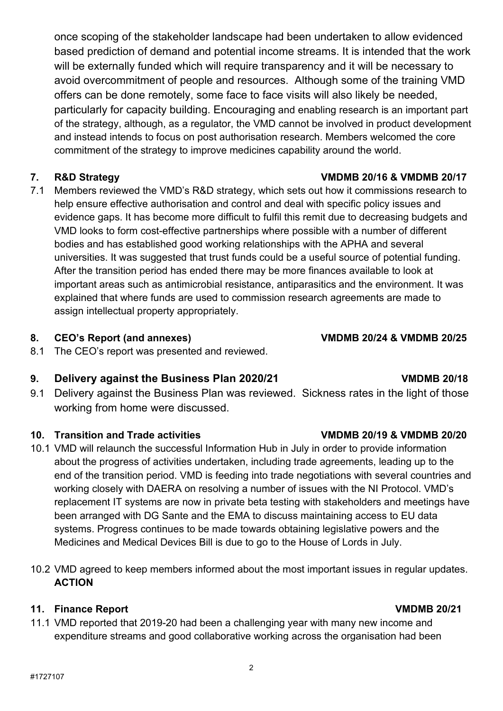once scoping of the stakeholder landscape had been undertaken to allow evidenced based prediction of demand and potential income streams. It is intended that the work will be externally funded which will require transparency and it will be necessary to avoid overcommitment of people and resources. Although some of the training VMD offers can be done remotely, some face to face visits will also likely be needed, particularly for capacity building. Encouraging and enabling research is an important part of the strategy, although, as a regulator, the VMD cannot be involved in product development and instead intends to focus on post authorisation research. Members welcomed the core commitment of the strategy to improve medicines capability around the world.

7.1 Members reviewed the VMD's R&D strategy, which sets out how it commissions research to help ensure effective authorisation and control and deal with specific policy issues and evidence gaps. It has become more difficult to fulfil this remit due to decreasing budgets and VMD looks to form cost-effective partnerships where possible with a number of different bodies and has established good working relationships with the APHA and several universities. It was suggested that trust funds could be a useful source of potential funding. After the transition period has ended there may be more finances available to look at important areas such as antimicrobial resistance, antiparasitics and the environment. It was explained that where funds are used to commission research agreements are made to assign intellectual property appropriately.

## **8. CEO's Report (and annexes) VMDMB 20/24 & VMDMB 20/25**

8.1 The CEO's report was presented and reviewed.

# **9. Delivery against the Business Plan 2020/21 VMDMB 20/18**

9.1 Delivery against the Business Plan was reviewed. Sickness rates in the light of those working from home were discussed.

## **10. Transition and Trade activities VMDMB 20/19 & VMDMB 20/20**

- 10.1 VMD will relaunch the successful Information Hub in July in order to provide information about the progress of activities undertaken, including trade agreements, leading up to the end of the transition period. VMD is feeding into trade negotiations with several countries and working closely with DAERA on resolving a number of issues with the NI Protocol. VMD's replacement IT systems are now in private beta testing with stakeholders and meetings have been arranged with DG Sante and the EMA to discuss maintaining access to EU data systems. Progress continues to be made towards obtaining legislative powers and the Medicines and Medical Devices Bill is due to go to the House of Lords in July.
- 10.2 VMD agreed to keep members informed about the most important issues in regular updates. **ACTION**

2

## **11. Finance Report VMDMB 20/21**

11.1 VMD reported that 2019-20 had been a challenging year with many new income and expenditure streams and good collaborative working across the organisation had been

## **7. R&D Strategy VMDMB 20/16 & VMDMB 20/17**